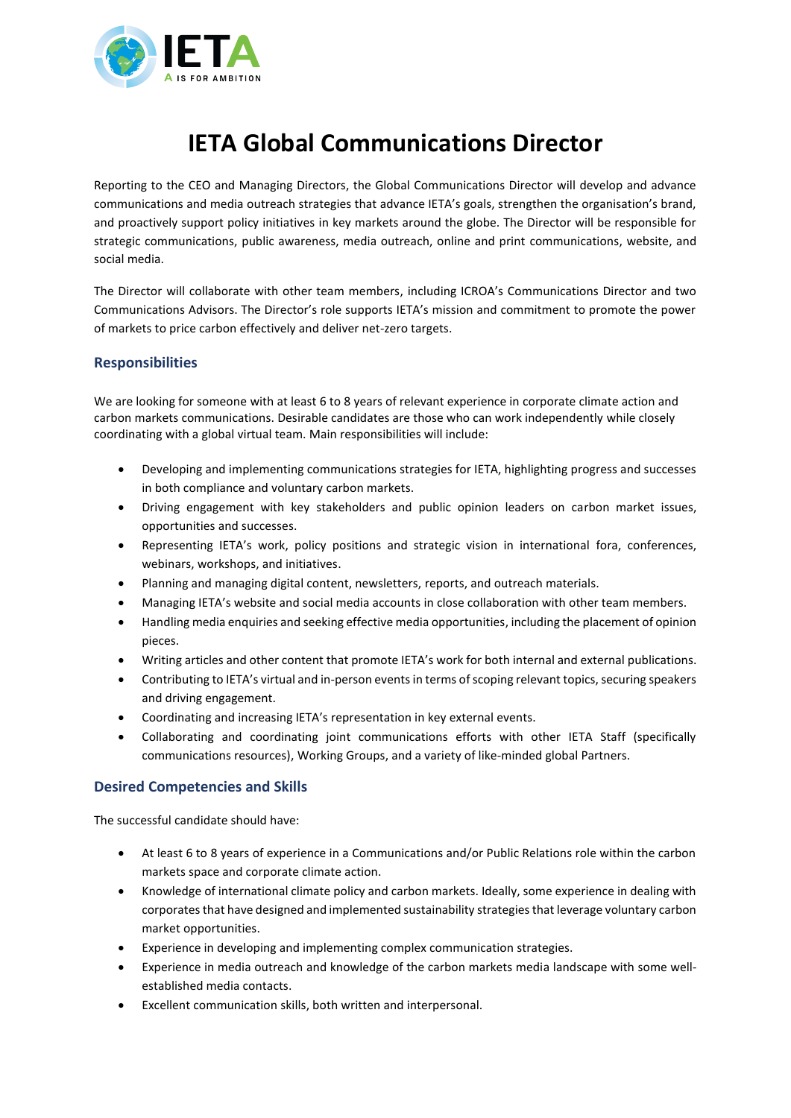

## **IETA Global Communications Director**

Reporting to the CEO and Managing Directors, the Global Communications Director will develop and advance communications and media outreach strategies that advance IETA's goals, strengthen the organisation's brand, and proactively support policy initiatives in key markets around the globe. The Director will be responsible for strategic communications, public awareness, media outreach, online and print communications, website, and social media.

The Director will collaborate with other team members, including ICROA's Communications Director and two Communications Advisors. The Director's role supports IETA's mission and commitment to promote the power of markets to price carbon effectively and deliver net-zero targets.

## **Responsibilities**

We are looking for someone with at least 6 to 8 years of relevant experience in corporate climate action and carbon markets communications. Desirable candidates are those who can work independently while closely coordinating with a global virtual team. Main responsibilities will include:

- Developing and implementing communications strategies for IETA, highlighting progress and successes in both compliance and voluntary carbon markets.
- Driving engagement with key stakeholders and public opinion leaders on carbon market issues, opportunities and successes.
- Representing IETA's work, policy positions and strategic vision in international fora, conferences, webinars, workshops, and initiatives.
- Planning and managing digital content, newsletters, reports, and outreach materials.
- Managing IETA's website and social media accounts in close collaboration with other team members.
- Handling media enquiries and seeking effective media opportunities, including the placement of opinion pieces.
- Writing articles and other content that promote IETA's work for both internal and external publications.
- Contributing to IETA's virtual and in-person events in terms of scoping relevant topics, securing speakers and driving engagement.
- Coordinating and increasing IETA's representation in key external events.
- Collaborating and coordinating joint communications efforts with other IETA Staff (specifically communications resources), Working Groups, and a variety of like-minded global Partners.

## **Desired Competencies and Skills**

The successful candidate should have:

- At least 6 to 8 years of experience in a Communications and/or Public Relations role within the carbon markets space and corporate climate action.
- Knowledge of international climate policy and carbon markets. Ideally, some experience in dealing with corporates that have designed and implemented sustainability strategies that leverage voluntary carbon market opportunities.
- Experience in developing and implementing complex communication strategies.
- Experience in media outreach and knowledge of the carbon markets media landscape with some wellestablished media contacts.
- Excellent communication skills, both written and interpersonal.